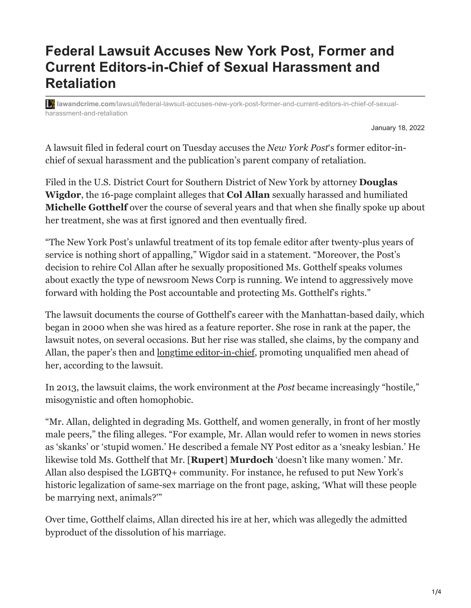## **Federal Lawsuit Accuses New York Post, Former and Current Editors-in-Chief of Sexual Harassment and Retaliation**

**lawandcrime.com**[/lawsuit/federal-lawsuit-accuses-new-york-post-former-and-current-editors-in-chief-of-sexual](https://lawandcrime.com/lawsuit/federal-lawsuit-accuses-new-york-post-former-and-current-editors-in-chief-of-sexual-harassment-and-retaliation/)harassment-and-retaliation

January 18, 2022

A lawsuit filed in federal court on Tuesday accuses the *New York Post*'s former editor-inchief of sexual harassment and the publication's parent company of retaliation.

Filed in the U.S. District Court for Southern District of New York by attorney **Douglas Wigdor**, the 16-page complaint alleges that **Col Allan** sexually harassed and humiliated **Michelle Gotthelf** over the course of several years and that when she finally spoke up about her treatment, she was at first ignored and then eventually fired.

"The New York Post's unlawful treatment of its top female editor after twenty-plus years of service is nothing short of appalling," Wigdor said in a statement. "Moreover, the Post's decision to rehire Col Allan after he sexually propositioned Ms. Gotthelf speaks volumes about exactly the type of newsroom News Corp is running. We intend to aggressively move forward with holding the Post accountable and protecting Ms. Gotthelf's rights."

The lawsuit documents the course of Gotthelf's career with the Manhattan-based daily, which began in 2000 when she was hired as a feature reporter. She rose in rank at the paper, the lawsuit notes, on several occasions. But her rise was stalled, she claims, by the company and Allan, the paper's then and <u>[longtime editor-in-chief](https://nypost.com/2016/04/14/longtime-post-editor-in-chief-col-allan-is-retiring/)</u>, promoting unqualified men ahead of her, according to the lawsuit.

In 2013, the lawsuit claims, the work environment at the *Post* became increasingly "hostile," misogynistic and often homophobic.

"Mr. Allan, delighted in degrading Ms. Gotthelf, and women generally, in front of her mostly male peers," the filing alleges. "For example, Mr. Allan would refer to women in news stories as 'skanks' or 'stupid women.' He described a female NY Post editor as a 'sneaky lesbian.' He likewise told Ms. Gotthelf that Mr. [**Rupert**] **Murdoch** 'doesn't like many women.' Mr. Allan also despised the LGBTQ+ community. For instance, he refused to put New York's historic legalization of same-sex marriage on the front page, asking, 'What will these people be marrying next, animals?'"

Over time, Gotthelf claims, Allan directed his ire at her, which was allegedly the admitted byproduct of the dissolution of his marriage.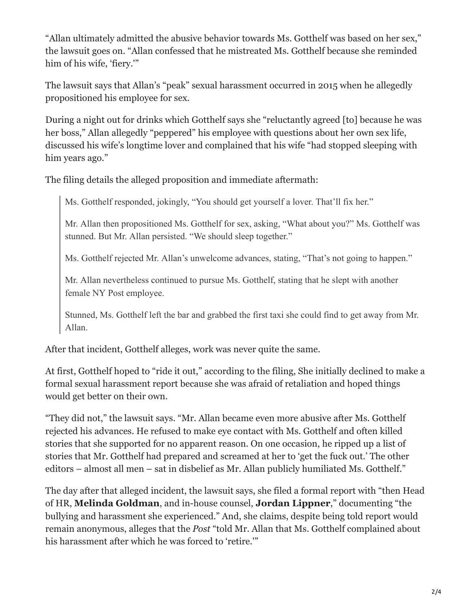"Allan ultimately admitted the abusive behavior towards Ms. Gotthelf was based on her sex," the lawsuit goes on. "Allan confessed that he mistreated Ms. Gotthelf because she reminded him of his wife, 'fiery.'"

The lawsuit says that Allan's "peak" sexual harassment occurred in 2015 when he allegedly propositioned his employee for sex.

During a night out for drinks which Gotthelf says she "reluctantly agreed [to] because he was her boss," Allan allegedly "peppered" his employee with questions about her own sex life, discussed his wife's longtime lover and complained that his wife "had stopped sleeping with him years ago."

The filing details the alleged proposition and immediate aftermath:

Ms. Gotthelf responded, jokingly, "You should get yourself a lover. That'll fix her."

Mr. Allan then propositioned Ms. Gotthelf for sex, asking, "What about you?" Ms. Gotthelf was stunned. But Mr. Allan persisted. "We should sleep together."

Ms. Gotthelf rejected Mr. Allan's unwelcome advances, stating, "That's not going to happen."

Mr. Allan nevertheless continued to pursue Ms. Gotthelf, stating that he slept with another female NY Post employee.

Stunned, Ms. Gotthelf left the bar and grabbed the first taxi she could find to get away from Mr. Allan.

After that incident, Gotthelf alleges, work was never quite the same.

At first, Gotthelf hoped to "ride it out," according to the filing, She initially declined to make a formal sexual harassment report because she was afraid of retaliation and hoped things would get better on their own.

"They did not," the lawsuit says. "Mr. Allan became even more abusive after Ms. Gotthelf rejected his advances. He refused to make eye contact with Ms. Gotthelf and often killed stories that she supported for no apparent reason. On one occasion, he ripped up a list of stories that Mr. Gotthelf had prepared and screamed at her to 'get the fuck out.' The other editors – almost all men – sat in disbelief as Mr. Allan publicly humiliated Ms. Gotthelf."

The day after that alleged incident, the lawsuit says, she filed a formal report with "then Head of HR, **Melinda Goldman**, and in-house counsel, **Jordan Lippner**," documenting "the bullying and harassment she experienced." And, she claims, despite being told report would remain anonymous, alleges that the *Post* "told Mr. Allan that Ms. Gotthelf complained about his harassment after which he was forced to 'retire.'"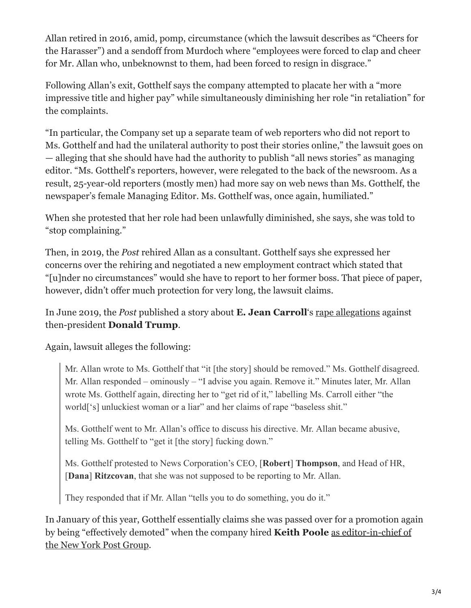Allan retired in 2016, amid, pomp, circumstance (which the lawsuit describes as "Cheers for the Harasser") and a sendoff from Murdoch where "employees were forced to clap and cheer for Mr. Allan who, unbeknownst to them, had been forced to resign in disgrace."

Following Allan's exit, Gotthelf says the company attempted to placate her with a "more impressive title and higher pay" while simultaneously diminishing her role "in retaliation" for the complaints.

"In particular, the Company set up a separate team of web reporters who did not report to Ms. Gotthelf and had the unilateral authority to post their stories online," the lawsuit goes on — alleging that she should have had the authority to publish "all news stories" as managing editor. "Ms. Gotthelf's reporters, however, were relegated to the back of the newsroom. As a result, 25-year-old reporters (mostly men) had more say on web news than Ms. Gotthelf, the newspaper's female Managing Editor. Ms. Gotthelf was, once again, humiliated."

When she protested that her role had been unlawfully diminished, she says, she was told to "stop complaining."

Then, in 2019, the *Post* rehired Allan as a consultant. Gotthelf says she expressed her concerns over the rehiring and negotiated a new employment contract which stated that "[u]nder no circumstances" would she have to report to her former boss. That piece of paper, however, didn't offer much protection for very long, the lawsuit claims.

In June 2019, the *Post* published a story about **E. Jean Carroll**'s [rape allegations](https://lawandcrime.com/high-profile/trump-responded-to-rape-accusers-burdensome-dna-request-by-asking-court-to-delay-lawsuit/) against then-president **Donald Trump**.

Again, lawsuit alleges the following:

Mr. Allan wrote to Ms. Gotthelf that "it [the story] should be removed." Ms. Gotthelf disagreed. Mr. Allan responded – ominously – "I advise you again. Remove it." Minutes later, Mr. Allan wrote Ms. Gotthelf again, directing her to "get rid of it," labelling Ms. Carroll either "the world['s] unluckiest woman or a liar" and her claims of rape "baseless shit."

Ms. Gotthelf went to Mr. Allan's office to discuss his directive. Mr. Allan became abusive, telling Ms. Gotthelf to "get it [the story] fucking down."

Ms. Gotthelf protested to News Corporation's CEO, [**Robert**] **Thompson**, and Head of HR, [**Dana**] **Ritzcovan**, that she was not supposed to be reporting to Mr. Allan.

They responded that if Mr. Allan "tells you to do something, you do it."

In January of this year, Gotthelf essentially claims she was passed over for a promotion again [by being "effectively demoted" when the company hired](https://nypost.com/2021/01/06/keith-poole-to-take-the-helm-at-the-new-york-post-group/) **Keith Poole** as editor-in-chief of the New York Post Group.